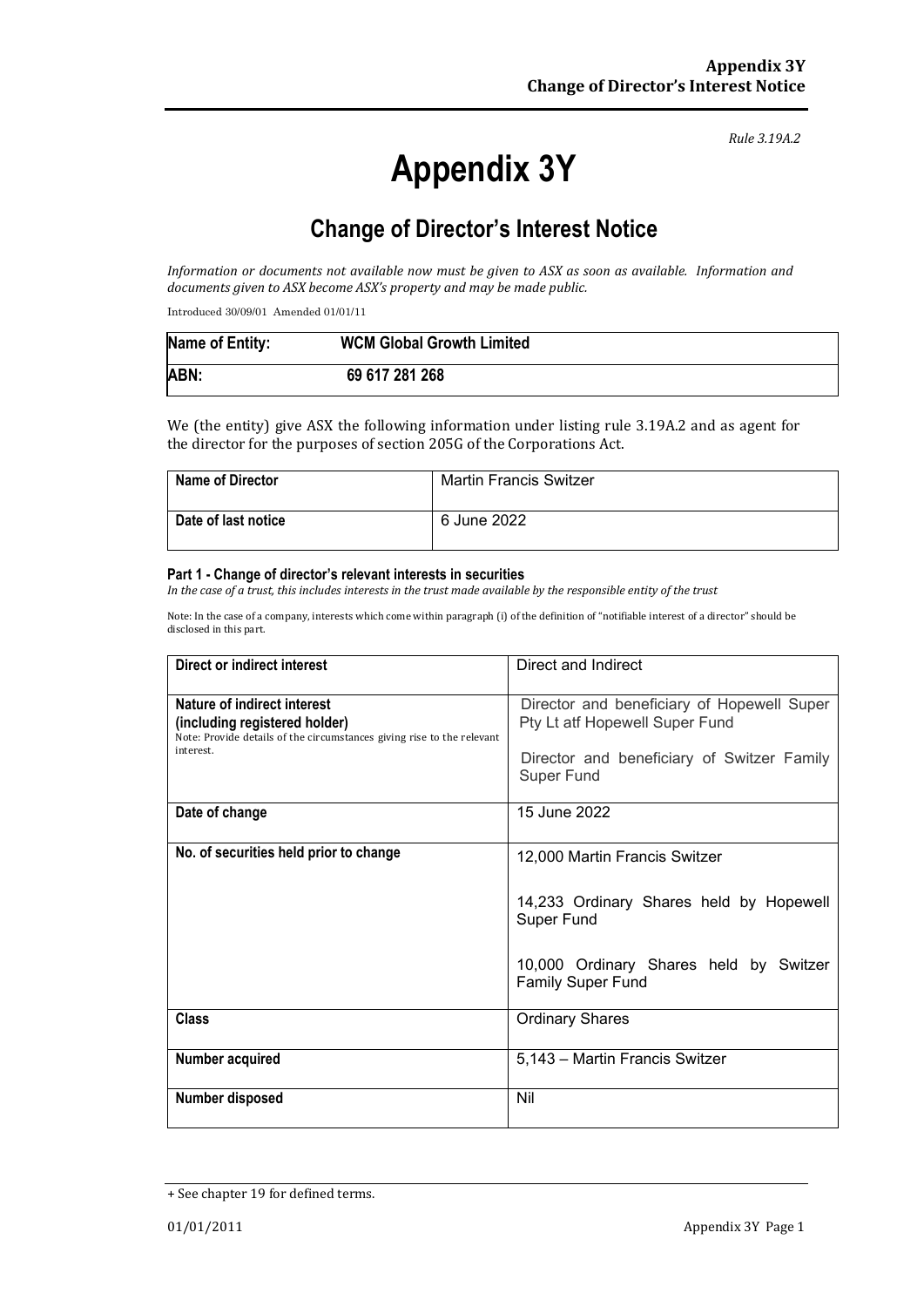# **Appendix 3Y**

*Rule 3.19A.2*

# **Change of Director's Interest Notice**

*Information or documents not available now must be given to ASX as soon as available. Information and documents given to ASX become ASX's property and may be made public.*

Introduced 30/09/01 Amended 01/01/11

| Name of Entity: | <b>WCM Global Growth Limited</b> |
|-----------------|----------------------------------|
| <b>ABN:</b>     | 69 617 281 268                   |

We (the entity) give ASX the following information under listing rule 3.19A.2 and as agent for the director for the purposes of section 205G of the Corporations Act.

| <b>Name of Director</b> | <b>Martin Francis Switzer</b> |
|-------------------------|-------------------------------|
| Date of last notice     | 6 June 2022                   |

#### **Part 1 - Change of director's relevant interests in securities**

*In the case of a trust, this includes interests in the trust made available by the responsible entity of the trust*

Note: In the case of a company, interests which come within paragraph (i) of the definition of "notifiable interest of a director" should be disclosed in this part.

| Direct or indirect interest                                                                                                                         | Direct and Indirect                                                                                                                                          |  |
|-----------------------------------------------------------------------------------------------------------------------------------------------------|--------------------------------------------------------------------------------------------------------------------------------------------------------------|--|
| Nature of indirect interest<br>(including registered holder)<br>Note: Provide details of the circumstances giving rise to the relevant<br>interest. | Director and beneficiary of Hopewell Super<br>Pty Lt atf Hopewell Super Fund<br>Director and beneficiary of Switzer Family<br><b>Super Fund</b>              |  |
| Date of change                                                                                                                                      | 15 June 2022                                                                                                                                                 |  |
| No. of securities held prior to change                                                                                                              | 12,000 Martin Francis Switzer<br>14,233 Ordinary Shares held by Hopewell<br>Super Fund<br>10,000 Ordinary Shares held by Switzer<br><b>Family Super Fund</b> |  |
| <b>Class</b>                                                                                                                                        | <b>Ordinary Shares</b>                                                                                                                                       |  |
| Number acquired                                                                                                                                     | 5,143 - Martin Francis Switzer                                                                                                                               |  |
| Number disposed                                                                                                                                     | Nil                                                                                                                                                          |  |

<sup>+</sup> See chapter 19 for defined terms.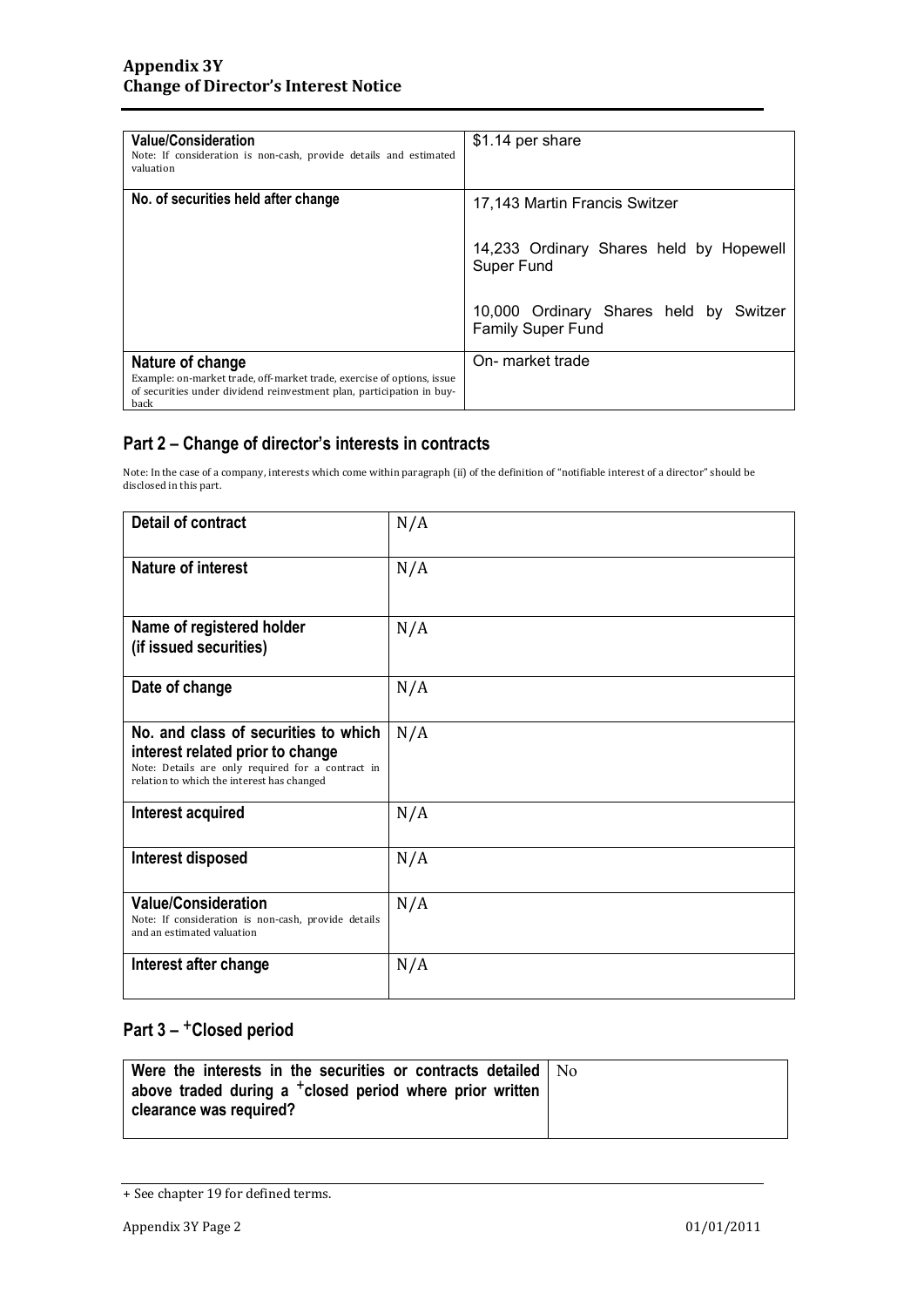| <b>Value/Consideration</b><br>Note: If consideration is non-cash, provide details and estimated<br>valuation                                                                | \$1.14 per share                                                   |  |
|-----------------------------------------------------------------------------------------------------------------------------------------------------------------------------|--------------------------------------------------------------------|--|
| No. of securities held after change                                                                                                                                         | 17,143 Martin Francis Switzer                                      |  |
|                                                                                                                                                                             | 14,233 Ordinary Shares held by Hopewell<br><b>Super Fund</b>       |  |
|                                                                                                                                                                             | 10,000 Ordinary Shares held by Switzer<br><b>Family Super Fund</b> |  |
| Nature of change<br>Example: on-market trade, off-market trade, exercise of options, issue<br>of securities under dividend reinvestment plan, participation in buy-<br>back | On- market trade                                                   |  |

## **Part 2 – Change of director's interests in contracts**

Note: In the case of a company, interests which come within paragraph (ii) of the definition of "notifiable interest of a director" should be disclosed in this part.

| <b>Detail of contract</b>                                                                                                                                                   | N/A |
|-----------------------------------------------------------------------------------------------------------------------------------------------------------------------------|-----|
| <b>Nature of interest</b>                                                                                                                                                   | N/A |
| Name of registered holder<br>(if issued securities)                                                                                                                         | N/A |
| Date of change                                                                                                                                                              | N/A |
| No. and class of securities to which<br>interest related prior to change<br>Note: Details are only required for a contract in<br>relation to which the interest has changed | N/A |
| Interest acquired                                                                                                                                                           | N/A |
| Interest disposed                                                                                                                                                           | N/A |
| <b>Value/Consideration</b><br>Note: If consideration is non-cash, provide details<br>and an estimated valuation                                                             | N/A |
| Interest after change                                                                                                                                                       | N/A |

## **Part 3 –** +**Closed period**

| Were the interests in the securities or contracts detailed $\vert$ No |  |
|-----------------------------------------------------------------------|--|
| above traded during a <sup>+</sup> closed period where prior written  |  |
| clearance was required?                                               |  |
|                                                                       |  |

<sup>+</sup> See chapter 19 for defined terms.